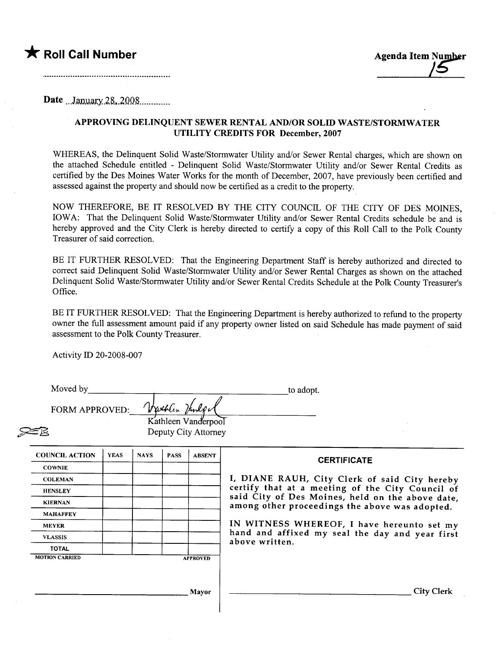



Date ...January.28, 2008..............

## APPROVING DELINQUENT SEWER RENTAL AND/OR SOLID WASTE/STORMWATER UTILITY CREDITS FOR December, 2007

WHEREAS, the Delinquent Solid Waste/Stormwater Utility and/or Sewer Rental charges, which are shown on the attached Schedule entitled - Delinquent Solid Waste/Stormwater Utilty and/or Sewer Rental Credits as certified by the Des Moines Water Works for the month of December, 2007, have previously been certified and assessed against the property and should now be certified as a credit to the property.

NOW THEREFORE, BE IT RESOLVED BY THE CITY COUNCIL OF THE CITY OF DES MOINES, IOWA: That the Delinquent Solid Waste/Stormwater Utilty and/or Sewer Rental Credits schedule be and is hereby approved and the City Clerk is hereby directed to certify a copy of this Roll Call to the Polk County Treasurer of said correction.

BE IT FURTHER RESOLVED: That the Engineering Department Staff is hereby authorized and directed to correct said Delinquent Solid Waste/Stormwater Utility and/or Sewer Rental Charges as shown on the attached Delinquent Solid Waste/Stormwater Utility and/or Sewer Rental Credits Schedule at the Polk County Treasurer's Office.

BE IT FURTHER RESOLVED: That the Engineering Department is hereby authorized to refund to the property owner the full assessment amount paid if any property owner listed on said Schedule has made payment of said assessment to the Polk County Treasurer.

Activity ID 20-2008-007

| Moved by<br><b>FORM APPROVED:</b> |             |             | Vathlen Handpa | Kathleen Vanderpool<br>Deputy City Attorney | to adopt.                                                                                          |
|-----------------------------------|-------------|-------------|----------------|---------------------------------------------|----------------------------------------------------------------------------------------------------|
| <b>COUNCIL ACTION</b>             | <b>YEAS</b> | <b>NAYS</b> | <b>PASS</b>    | <b>ABSENT</b>                               | <b>CERTIFICATE</b>                                                                                 |
| <b>COWNIE</b>                     |             |             |                |                                             |                                                                                                    |
| <b>COLEMAN</b>                    |             |             |                |                                             | I, DIANE RAUH, City Clerk of said City hereby                                                      |
| <b>HENSLEY</b>                    |             |             |                |                                             | certify that at a meeting of the City Council of                                                   |
| <b>KIERNAN</b>                    |             |             |                |                                             | said City of Des Moines, held on the above date,<br>among other proceedings the above was adopted. |
| <b>MAHAFFEY</b>                   |             |             |                |                                             |                                                                                                    |
| <b>MEYER</b>                      |             |             |                |                                             | IN WITNESS WHEREOF, I have hereunto set my                                                         |
| <b>VLASSIS</b>                    |             |             |                |                                             | hand and affixed my seal the day and year first<br>above written.                                  |
| <b>TOTAL</b>                      |             |             |                |                                             |                                                                                                    |
| <b>MOTION CARRIED</b>             |             |             |                | <b>APPROVED</b>                             |                                                                                                    |
|                                   |             |             |                | Mayor                                       | <b>City Clerk</b>                                                                                  |